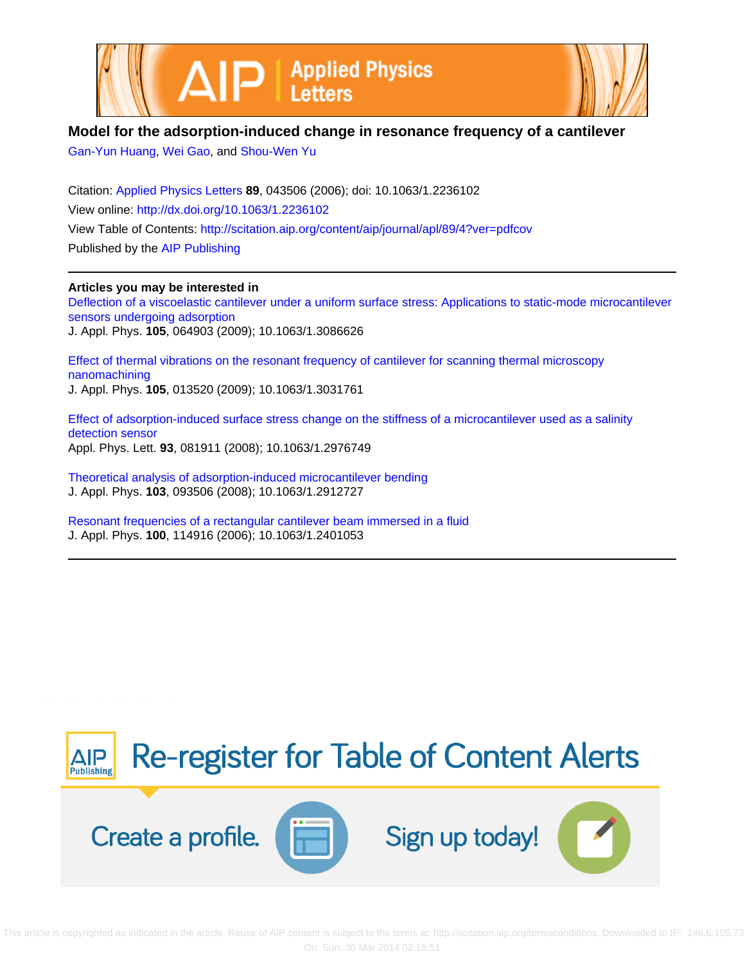



## **Model for the adsorption-induced change in resonance frequency of a cantilever**

[Gan-Yun Huang](http://scitation.aip.org/search?value1=Gan-Yun+Huang&option1=author), [Wei Gao,](http://scitation.aip.org/search?value1=Wei+Gao&option1=author) and [Shou-Wen Yu](http://scitation.aip.org/search?value1=Shou-Wen+Yu&option1=author)

Citation: [Applied Physics Letters](http://scitation.aip.org/content/aip/journal/apl?ver=pdfcov) **89**, 043506 (2006); doi: 10.1063/1.2236102 View online: <http://dx.doi.org/10.1063/1.2236102> View Table of Contents: <http://scitation.aip.org/content/aip/journal/apl/89/4?ver=pdfcov> Published by the [AIP Publishing](http://scitation.aip.org/content/aip?ver=pdfcov)

**Articles you may be interested in** [Deflection of a viscoelastic cantilever under a uniform surface stress: Applications to static-mode microcantilever](http://scitation.aip.org/content/aip/journal/jap/105/6/10.1063/1.3086626?ver=pdfcov) [sensors undergoing adsorption](http://scitation.aip.org/content/aip/journal/jap/105/6/10.1063/1.3086626?ver=pdfcov) J. Appl. Phys. **105**, 064903 (2009); 10.1063/1.3086626

[Effect of thermal vibrations on the resonant frequency of cantilever for scanning thermal microscopy](http://scitation.aip.org/content/aip/journal/jap/105/1/10.1063/1.3031761?ver=pdfcov) [nanomachining](http://scitation.aip.org/content/aip/journal/jap/105/1/10.1063/1.3031761?ver=pdfcov) J. Appl. Phys. **105**, 013520 (2009); 10.1063/1.3031761

[Effect of adsorption-induced surface stress change on the stiffness of a microcantilever used as a salinity](http://scitation.aip.org/content/aip/journal/apl/93/8/10.1063/1.2976749?ver=pdfcov) [detection sensor](http://scitation.aip.org/content/aip/journal/apl/93/8/10.1063/1.2976749?ver=pdfcov) Appl. Phys. Lett. **93**, 081911 (2008); 10.1063/1.2976749

[Theoretical analysis of adsorption-induced microcantilever bending](http://scitation.aip.org/content/aip/journal/jap/103/9/10.1063/1.2912727?ver=pdfcov) J. Appl. Phys. **103**, 093506 (2008); 10.1063/1.2912727

[Resonant frequencies of a rectangular cantilever beam immersed in a fluid](http://scitation.aip.org/content/aip/journal/jap/100/11/10.1063/1.2401053?ver=pdfcov) J. Appl. Phys. **100**, 114916 (2006); 10.1063/1.2401053

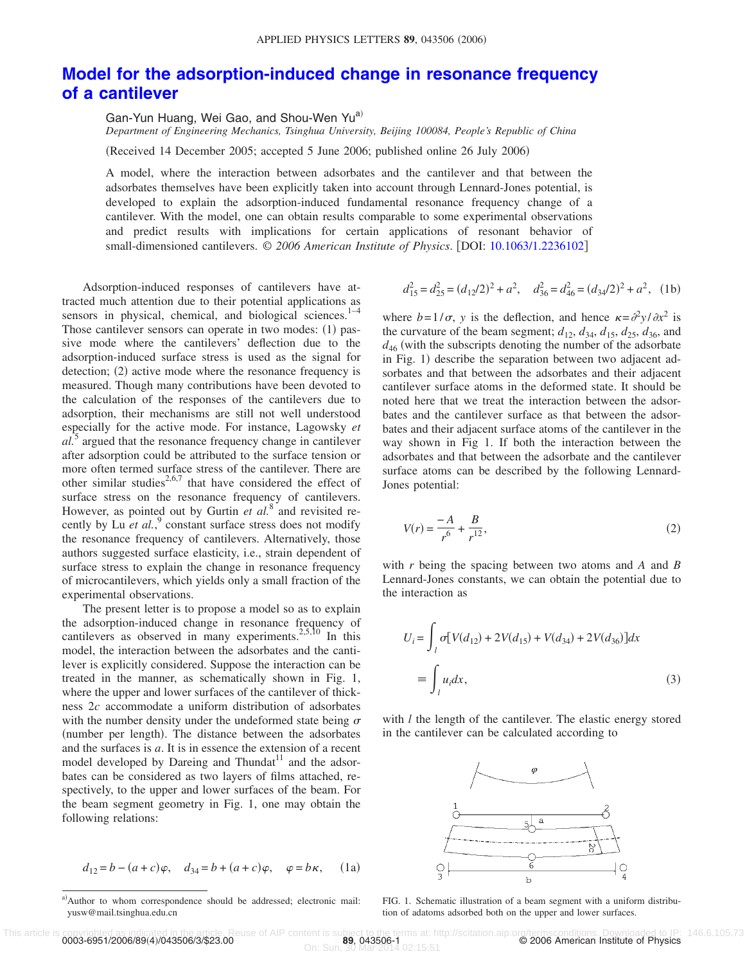## **[Model for the adsorption-induced change in resonance frequency](http://dx.doi.org/10.1063/1.2236102) [of a cantilever](http://dx.doi.org/10.1063/1.2236102)**

Gan-Yun Huang, Wei Gao, and Shou-Wen Yu<sup>a)</sup>

*Department of Engineering Mechanics, Tsinghua University, Beijing 100084, People's Republic of China*

(Received 14 December 2005; accepted 5 June 2006; published online 26 July 2006)

A model, where the interaction between adsorbates and the cantilever and that between the adsorbates themselves have been explicitly taken into account through Lennard-Jones potential, is developed to explain the adsorption-induced fundamental resonance frequency change of a cantilever. With the model, one can obtain results comparable to some experimental observations and predict results with implications for certain applications of resonant behavior of small-dimensioned cantilevers. © *2006 American Institute of Physics*. DOI: [10.1063/1.2236102](http://dx.doi.org/10.1063/1.2236102)

Adsorption-induced responses of cantilevers have attracted much attention due to their potential applications as sensors in physical, chemical, and biological sciences.<sup>1-4</sup> Those cantilever sensors can operate in two modes: (1) passive mode where the cantilevers' deflection due to the adsorption-induced surface stress is used as the signal for detection; (2) active mode where the resonance frequency is measured. Though many contributions have been devoted to the calculation of the responses of the cantilevers due to adsorption, their mechanisms are still not well understood especially for the active mode. For instance, Lagowsky *et al.*<sup>5</sup> argued that the resonance frequency change in cantilever after adsorption could be attributed to the surface tension or more often termed surface stress of the cantilever. There are other similar studies<sup>2,6,7</sup> that have considered the effect of surface stress on the resonance frequency of cantilevers. However, as pointed out by Gurtin *et al.*<sup>8</sup> and revisited recently by Lu *et al.*,<sup>9</sup> constant surface stress does not modify the resonance frequency of cantilevers. Alternatively, those authors suggested surface elasticity, i.e., strain dependent of surface stress to explain the change in resonance frequency of microcantilevers, which yields only a small fraction of the experimental observations.

The present letter is to propose a model so as to explain the adsorption-induced change in resonance frequency of cantilevers as observed in many experiments.<sup>2,5,10</sup> In this model, the interaction between the adsorbates and the cantilever is explicitly considered. Suppose the interaction can be treated in the manner, as schematically shown in Fig. 1, where the upper and lower surfaces of the cantilever of thickness 2*c* accommodate a uniform distribution of adsorbates with the number density under the undeformed state being  $\sigma$ (number per length). The distance between the adsorbates and the surfaces is *a*. It is in essence the extension of a recent model developed by Dareing and Thundat<sup>11</sup> and the adsorbates can be considered as two layers of films attached, respectively, to the upper and lower surfaces of the beam. For the beam segment geometry in Fig. 1, one may obtain the following relations:

$$
d_{12} = b - (a + c)\varphi
$$
,  $d_{34} = b + (a + c)\varphi$ ,  $\varphi = b\kappa$ , (1a)

$$
d_{15}^2 = d_{25}^2 = (d_{12}/2)^2 + a^2, \quad d_{36}^2 = d_{46}^2 = (d_{34}/2)^2 + a^2, \quad (1b)
$$

where  $b=1/\sigma$ , *y* is the deflection, and hence  $\kappa = \frac{\partial^2 y}{\partial x^2}$  is the curvature of the beam segment;  $d_{12}$ ,  $d_{34}$ ,  $d_{15}$ ,  $d_{25}$ ,  $d_{36}$ , and  $d_{46}$  (with the subscripts denoting the number of the adsorbate in Fig. 1) describe the separation between two adjacent adsorbates and that between the adsorbates and their adjacent cantilever surface atoms in the deformed state. It should be noted here that we treat the interaction between the adsorbates and the cantilever surface as that between the adsorbates and their adjacent surface atoms of the cantilever in the way shown in Fig 1. If both the interaction between the adsorbates and that between the adsorbate and the cantilever surface atoms can be described by the following Lennard-Jones potential:

$$
V(r) = \frac{-A}{r^6} + \frac{B}{r^{12}},
$$
\n(2)

with *r* being the spacing between two atoms and *A* and *B* Lennard-Jones constants, we can obtain the potential due to the interaction as

$$
U_i = \int_l \sigma[V(d_{12}) + 2V(d_{15}) + V(d_{34}) + 2V(d_{36})]dx
$$
  
= 
$$
\int_l u_i dx,
$$
 (3)

with *l* the length of the cantilever. The elastic energy stored in the cantilever can be calculated according to



FIG. 1. Schematic illustration of a beam segment with a uniform distribution of adatoms adsorbed both on the upper and lower surfaces.

a) Author to whom correspondence should be addressed; electronic mail: yusw@mail.tsinghua.edu.cn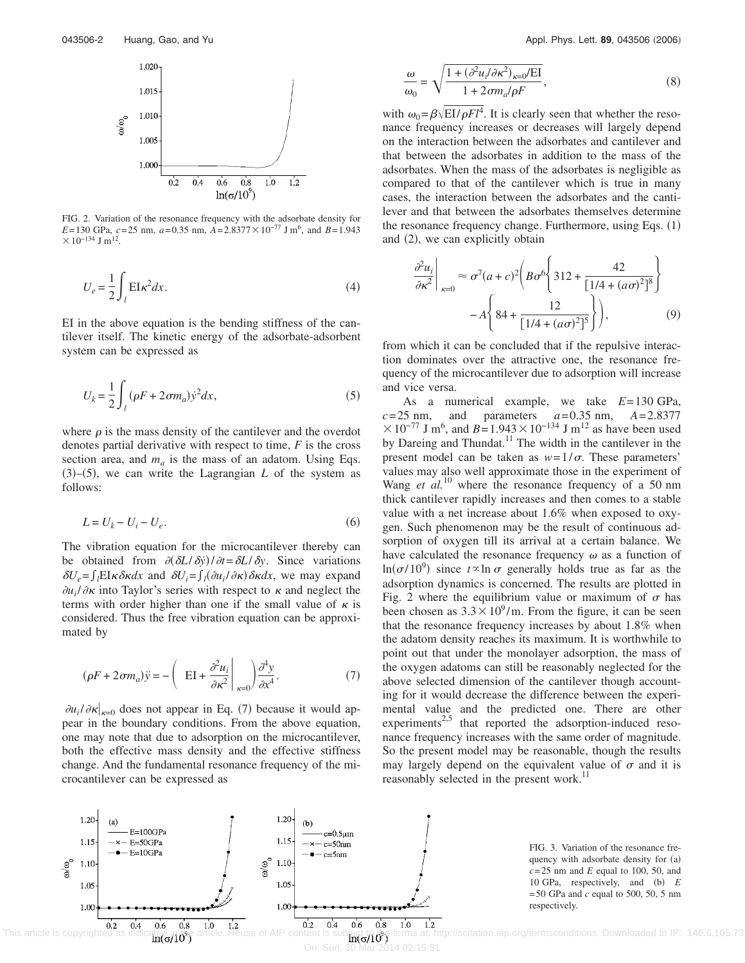

FIG. 2. Variation of the resonance frequency with the adsorbate density for *E*=130 GPa,  $c = 25$  nm,  $a = 0.35$  nm,  $A = 2.8377 \times 10^{-77}$  J m<sup>6</sup>, and  $B = 1.943$  $× 10^{-134}$  J m<sup>12</sup>.

$$
U_e = \frac{1}{2} \int_l E I \kappa^2 dx.
$$
 (4)

EI in the above equation is the bending stiffness of the cantilever itself. The kinetic energy of the adsorbate-adsorbent system can be expressed as

$$
U_k = \frac{1}{2} \int_l (\rho F + 2\sigma m_a) \dot{y}^2 dx,
$$
 (5)

where  $\rho$  is the mass density of the cantilever and the overdot denotes partial derivative with respect to time, *F* is the cross section area, and  $m_a$  is the mass of an adatom. Using Eqs.  $(3)$ – $(5)$ , we can write the Lagrangian *L* of the system as follows:

$$
L = U_k - U_i - U_e. \tag{6}
$$

The vibration equation for the microcantilever thereby can be obtained from  $\partial(\partial L/\partial y)/\partial t = \partial L/\partial y$ . Since variations  $\delta U_e = \int_l E I \kappa \delta \kappa dx$  and  $\delta U_i = \int_l (\partial u_i / \partial \kappa) \delta \kappa dx$ , we may expand  $\partial u_i / \partial \kappa$  into Taylor's series with respect to  $\kappa$  and neglect the terms with order higher than one if the small value of  $\kappa$  is considered. Thus the free vibration equation can be approximated by

$$
(\rho F + 2\sigma m_a)\ddot{y} = -\left(\text{EI} + \frac{\partial^2 u_i}{\partial \kappa^2}\bigg|_{\kappa=0}\right)\frac{\partial^4 y}{\partial x^4}.\tag{7}
$$

 $\partial u_i / \partial \kappa |_{\kappa=0}$  does not appear in Eq. (7) because it would appear in the boundary conditions. From the above equation, one may note that due to adsorption on the microcantilever, both the effective mass density and the effective stiffness change. And the fundamental resonance frequency of the microcantilever can be expressed as

$$
\frac{\omega}{\omega_0} = \sqrt{\frac{1 + (\partial^2 u_i / \partial \kappa^2)_{\kappa = 0} / \text{EI}}{1 + 2 \sigma m_a / \rho F}},\tag{8}
$$

with  $\omega_0 = \beta \sqrt{EI/\rho F l^4}$ . It is clearly seen that whether the resonance frequency increases or decreases will largely depend on the interaction between the adsorbates and cantilever and that between the adsorbates in addition to the mass of the adsorbates. When the mass of the adsorbates is negligible as compared to that of the cantilever which is true in many cases, the interaction between the adsorbates and the cantilever and that between the adsorbates themselves determine the resonance frequency change. Furthermore, using Eqs. (1) and (2), we can explicitly obtain

$$
\frac{\partial^2 u_i}{\partial \kappa^2} \bigg|_{\kappa=0} \approx \sigma^7 (a+c)^2 \bigg( B \sigma^6 \bigg\{ 312 + \frac{42}{\left[ 1/4 + (a\sigma)^2 \right]^8} \bigg\} - A \bigg\{ 84 + \frac{12}{\left[ 1/4 + (a\sigma)^2 \right]^5} \bigg\} \bigg), \tag{9}
$$

from which it can be concluded that if the repulsive interaction dominates over the attractive one, the resonance frequency of the microcantilever due to adsorption will increase and vice versa.

As a numerical example, we take *E*=130 GPa,  $c=25$  nm, and parameters  $a=0.35$  nm,  $A=2.8377$  $\times 10^{-77}$  J m<sup>6</sup>, and *B*=1.943  $\times 10^{-134}$  J m<sup>12</sup> as have been used by Dareing and Thundat.<sup>11</sup> The width in the cantilever in the present model can be taken as  $w=1/\sigma$ . These parameters' values may also well approximate those in the experiment of Wang *et al.*<sup>10</sup> where the resonance frequency of a 50 nm thick cantilever rapidly increases and then comes to a stable value with a net increase about 1.6% when exposed to oxygen. Such phenomenon may be the result of continuous adsorption of oxygen till its arrival at a certain balance. We have calculated the resonance frequency  $\omega$  as a function of  $\ln(\sigma/10^9)$  since  $t \propto \ln \sigma$  generally holds true as far as the adsorption dynamics is concerned. The results are plotted in Fig. 2 where the equilibrium value or maximum of  $\sigma$  has been chosen as  $3.3 \times 10^9/m$ . From the figure, it can be seen that the resonance frequency increases by about 1.8% when the adatom density reaches its maximum. It is worthwhile to point out that under the monolayer adsorption, the mass of the oxygen adatoms can still be reasonably neglected for the above selected dimension of the cantilever though accounting for it would decrease the difference between the experimental value and the predicted one. There are other experiments<sup>2,5</sup> that reported the adsorption-induced resonance frequency increases with the same order of magnitude. So the present model may be reasonable, though the results may largely depend on the equivalent value of  $\sigma$  and it is reasonably selected in the present work.<sup>11</sup>